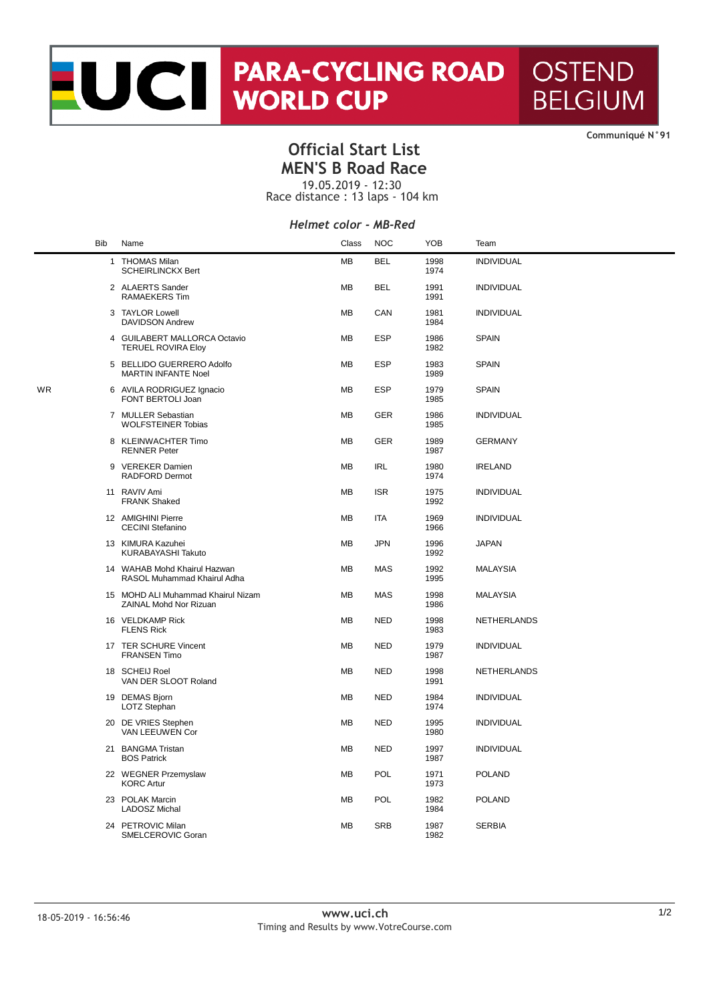# NORTH PARA-CYCLING ROAD **OSTEND BELGIUM**

**CommuniquÈ N°91**

### **Official Start List MEN'S B Road Race**

19.05.2019 - 12:30

Race distance : 13 laps - 104 km

#### *Helmet color - MB-Red*

|    | <b>Bib</b> | Name                                                         | Class     | <b>NOC</b> | <b>YOB</b>   | Team              |
|----|------------|--------------------------------------------------------------|-----------|------------|--------------|-------------------|
|    |            | 1 THOMAS Milan<br><b>SCHEIRLINCKX Bert</b>                   | MB        | <b>BEL</b> | 1998<br>1974 | <b>INDIVIDUAL</b> |
|    |            | 2 ALAERTS Sander<br><b>RAMAEKERS Tim</b>                     | MB        | <b>BEL</b> | 1991<br>1991 | <b>INDIVIDUAL</b> |
|    |            | 3 TAYLOR Lowell<br><b>DAVIDSON Andrew</b>                    | <b>MB</b> | CAN        | 1981<br>1984 | <b>INDIVIDUAL</b> |
|    |            | 4 GUILABERT MALLORCA Octavio<br><b>TERUEL ROVIRA Eloy</b>    | <b>MB</b> | <b>ESP</b> | 1986<br>1982 | <b>SPAIN</b>      |
|    |            | 5 BELLIDO GUERRERO Adolfo<br><b>MARTIN INFANTE Noel</b>      | <b>MB</b> | <b>ESP</b> | 1983<br>1989 | <b>SPAIN</b>      |
| WR |            | 6 AVILA RODRIGUEZ Ignacio<br>FONT BERTOLI Joan               | MB        | <b>ESP</b> | 1979<br>1985 | <b>SPAIN</b>      |
|    |            | 7 MULLER Sebastian<br><b>WOLFSTEINER Tobias</b>              | MB        | <b>GER</b> | 1986<br>1985 | <b>INDIVIDUAL</b> |
|    |            | 8 KLEINWACHTER Timo<br><b>RENNER Peter</b>                   | MB        | <b>GER</b> | 1989<br>1987 | <b>GERMANY</b>    |
|    |            | 9 VEREKER Damien<br><b>RADFORD Dermot</b>                    | MB        | <b>IRL</b> | 1980<br>1974 | <b>IRELAND</b>    |
|    |            | 11 RAVIV Ami<br><b>FRANK Shaked</b>                          | MB        | <b>ISR</b> | 1975<br>1992 | <b>INDIVIDUAL</b> |
|    |            | 12 AMIGHINI Pierre<br><b>CECINI Stefanino</b>                | MB        | <b>ITA</b> | 1969<br>1966 | <b>INDIVIDUAL</b> |
|    |            | 13 KIMURA Kazuhei<br>KURABAYASHI Takuto                      | MB        | <b>JPN</b> | 1996<br>1992 | <b>JAPAN</b>      |
|    |            | 14 WAHAB Mohd Khairul Hazwan<br>RASOL Muhammad Khairul Adha  | MB        | MAS        | 1992<br>1995 | <b>MALAYSIA</b>   |
|    |            | 15 MOHD ALI Muhammad Khairul Nizam<br>ZAINAL Mohd Nor Rizuan | MB        | <b>MAS</b> | 1998<br>1986 | <b>MALAYSIA</b>   |
|    |            | 16 VELDKAMP Rick<br><b>FLENS Rick</b>                        | MB        | <b>NED</b> | 1998<br>1983 | NETHERLANDS       |
|    |            | 17 TER SCHURE Vincent<br><b>FRANSEN Timo</b>                 | MВ        | <b>NED</b> | 1979<br>1987 | <b>INDIVIDUAL</b> |
|    |            | 18 SCHEIJ Roel<br>VAN DER SLOOT Roland                       | MB        | <b>NED</b> | 1998<br>1991 | NETHERLANDS       |
|    |            | 19 DEMAS Bjorn<br>LOTZ Stephan                               | <b>MB</b> | <b>NED</b> | 1984<br>1974 | <b>INDIVIDUAL</b> |
|    |            | 20 DE VRIES Stephen<br>VAN LEEUWEN Cor                       | MВ        | <b>NED</b> | 1995<br>1980 | <b>INDIVIDUAL</b> |
|    |            | 21 BANGMA Tristan<br><b>BOS Patrick</b>                      | <b>MB</b> | <b>NED</b> | 1997<br>1987 | <b>INDIVIDUAL</b> |
|    |            | 22 WEGNER Przemyslaw<br><b>KORC Artur</b>                    | <b>MB</b> | POL        | 1971<br>1973 | <b>POLAND</b>     |
|    |            | 23 POLAK Marcin<br><b>LADOSZ Michal</b>                      | MB        | POL        | 1982<br>1984 | <b>POLAND</b>     |
|    |            | 24 PETROVIC Milan<br>SMELCEROVIC Goran                       | <b>MB</b> | <b>SRB</b> | 1987<br>1982 | <b>SERBIA</b>     |